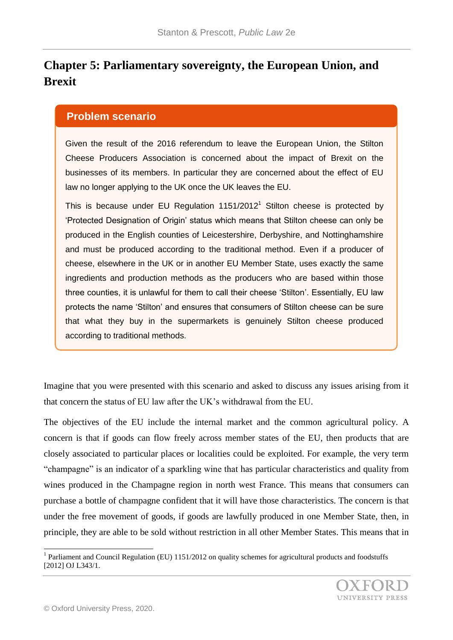## **Chapter 5: Parliamentary sovereignty, the European Union, and Brexit**

## **Problem scenario**

Given the result of the 2016 referendum to leave the European Union, the Stilton Cheese Producers Association is concerned about the impact of Brexit on the businesses of its members. In particular they are concerned about the effect of EU law no longer applying to the UK once the UK leaves the EU.

This is because under EU Regulation  $1151/2012<sup>1</sup>$  Stilton cheese is protected by 'Protected Designation of Origin' status which means that Stilton cheese can only be produced in the English counties of Leicestershire, Derbyshire, and Nottinghamshire and must be produced according to the traditional method. Even if a producer of cheese, elsewhere in the UK or in another EU Member State, uses exactly the same ingredients and production methods as the producers who are based within those three counties, it is unlawful for them to call their cheese 'Stilton'. Essentially, EU law protects the name 'Stilton' and ensures that consumers of Stilton cheese can be sure that what they buy in the supermarkets is genuinely Stilton cheese produced according to traditional methods.

Imagine that you were presented with this scenario and asked to discuss any issues arising from it that concern the status of EU law after the UK's withdrawal from the EU.

The objectives of the EU include the internal market and the common agricultural policy. A concern is that if goods can flow freely across member states of the EU, then products that are closely associated to particular places or localities could be exploited. For example, the very term "champagne" is an indicator of a sparkling wine that has particular characteristics and quality from wines produced in the Champagne region in north west France. This means that consumers can purchase a bottle of champagne confident that it will have those characteristics. The concern is that under the free movement of goods, if goods are lawfully produced in one Member State, then, in principle, they are able to be sold without restriction in all other Member States. This means that in

l

<sup>&</sup>lt;sup>1</sup> Parliament and Council Regulation (EU) 1151/2012 on quality schemes for agricultural products and foodstuffs [2012] OJ L343/1.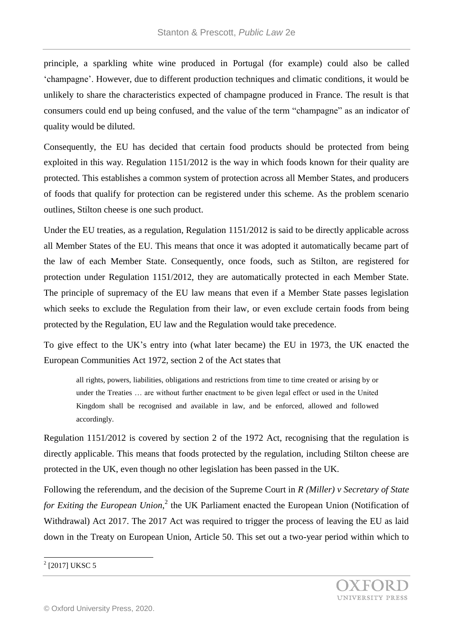principle, a sparkling white wine produced in Portugal (for example) could also be called 'champagne'. However, due to different production techniques and climatic conditions, it would be unlikely to share the characteristics expected of champagne produced in France. The result is that consumers could end up being confused, and the value of the term "champagne" as an indicator of quality would be diluted.

Consequently, the EU has decided that certain food products should be protected from being exploited in this way. Regulation 1151/2012 is the way in which foods known for their quality are protected. This establishes a common system of protection across all Member States, and producers of foods that qualify for protection can be registered under this scheme. As the problem scenario outlines, Stilton cheese is one such product.

Under the EU treaties, as a regulation, Regulation 1151/2012 is said to be directly applicable across all Member States of the EU. This means that once it was adopted it automatically became part of the law of each Member State. Consequently, once foods, such as Stilton, are registered for protection under Regulation 1151/2012, they are automatically protected in each Member State. The principle of supremacy of the EU law means that even if a Member State passes legislation which seeks to exclude the Regulation from their law, or even exclude certain foods from being protected by the Regulation, EU law and the Regulation would take precedence.

To give effect to the UK's entry into (what later became) the EU in 1973, the UK enacted the European Communities Act 1972, section 2 of the Act states that

all rights, powers, liabilities, obligations and restrictions from time to time created or arising by or under the Treaties … are without further enactment to be given legal effect or used in the United Kingdom shall be recognised and available in law, and be enforced, allowed and followed accordingly.

Regulation 1151/2012 is covered by section 2 of the 1972 Act, recognising that the regulation is directly applicable. This means that foods protected by the regulation, including Stilton cheese are protected in the UK, even though no other legislation has been passed in the UK.

Following the referendum, and the decision of the Supreme Court in *R (Miller) v Secretary of State*  for *Exiting the European Union*,<sup>2</sup> the UK Parliament enacted the European Union (Notification of Withdrawal) Act 2017. The 2017 Act was required to trigger the process of leaving the EU as laid down in the Treaty on European Union, Article 50. This set out a two-year period within which to

## l  $^{2}$  [2017] UKSC 5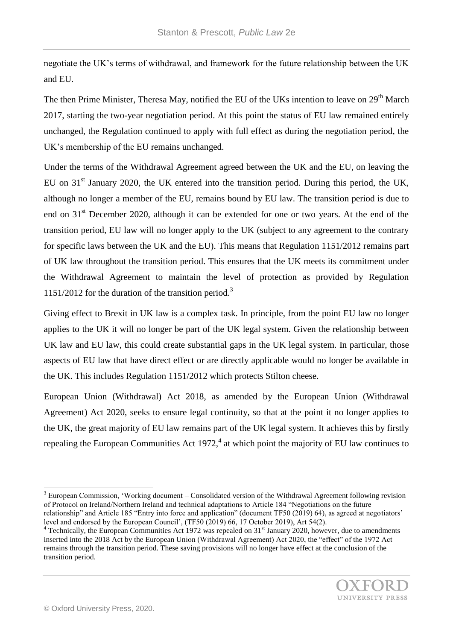negotiate the UK's terms of withdrawal, and framework for the future relationship between the UK and EU.

The then Prime Minister, Theresa May, notified the EU of the UKs intention to leave on 29<sup>th</sup> March 2017, starting the two-year negotiation period. At this point the status of EU law remained entirely unchanged, the Regulation continued to apply with full effect as during the negotiation period, the UK's membership of the EU remains unchanged.

Under the terms of the Withdrawal Agreement agreed between the UK and the EU, on leaving the EU on  $31<sup>st</sup>$  January 2020, the UK entered into the transition period. During this period, the UK, although no longer a member of the EU, remains bound by EU law. The transition period is due to end on  $31<sup>st</sup>$  December 2020, although it can be extended for one or two years. At the end of the transition period, EU law will no longer apply to the UK (subject to any agreement to the contrary for specific laws between the UK and the EU). This means that Regulation 1151/2012 remains part of UK law throughout the transition period. This ensures that the UK meets its commitment under the Withdrawal Agreement to maintain the level of protection as provided by Regulation 1151/2012 for the duration of the transition period.<sup>3</sup>

Giving effect to Brexit in UK law is a complex task. In principle, from the point EU law no longer applies to the UK it will no longer be part of the UK legal system. Given the relationship between UK law and EU law, this could create substantial gaps in the UK legal system. In particular, those aspects of EU law that have direct effect or are directly applicable would no longer be available in the UK. This includes Regulation 1151/2012 which protects Stilton cheese.

European Union (Withdrawal) Act 2018, as amended by the European Union (Withdrawal Agreement) Act 2020, seeks to ensure legal continuity, so that at the point it no longer applies to the UK, the great majority of EU law remains part of the UK legal system. It achieves this by firstly repealing the European Communities Act 1972, $4$  at which point the majority of EU law continues to

l

<sup>&</sup>lt;sup>3</sup> European Commission, 'Working document – Consolidated version of the Withdrawal Agreement following revision of Protocol on Ireland/Northern Ireland and technical adaptations to Article 184 "Negotiations on the future relationship" and Article 185 "Entry into force and application" (document TF50 (2019) 64), as agreed at negotiators'

level and endorsed by the European Council', (TF50 (2019) 66, 17 October 2019), Art 54(2).  $4$  Technically, the European Communities Act 1972 was repealed on 31 $\mathrm{^{st}}$  January 2020, however, due to amendments inserted into the 2018 Act by the European Union (Withdrawal Agreement) Act 2020, the "effect" of the 1972 Act remains through the transition period. These saving provisions will no longer have effect at the conclusion of the transition period.